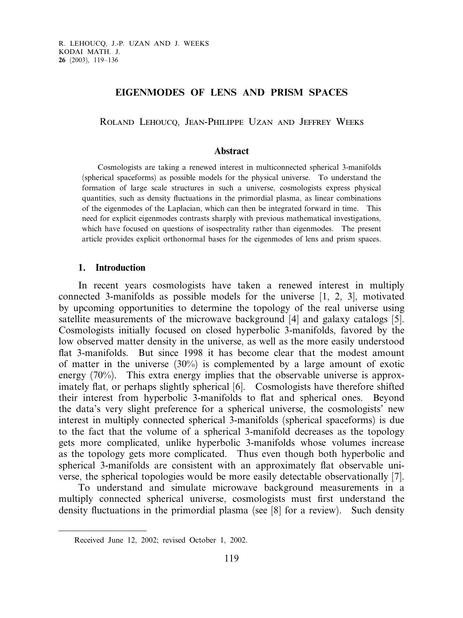# EIGENMODES OF LENS AND PRISM SPACES

Roland Lehoucq, Jean-Philippe Uzan and Jeffrey Weeks

### Abstract

Cosmologists are taking a renewed interest in multiconnected spherical 3-manifolds (spherical spaceforms) as possible models for the physical universe. To understand the formation of large scale structures in such a universe, cosmologists express physical quantities, such as density fluctuations in the primordial plasma, as linear combinations of the eigenmodes of the Laplacian, which can then be integrated forward in time. This need for explicit eigenmodes contrasts sharply with previous mathematical investigations, which have focused on questions of isospectrality rather than eigenmodes. The present article provides explicit orthonormal bases for the eigenmodes of lens and prism spaces.

### 1. Introduction

In recent years cosmologists have taken a renewed interest in multiply connected 3-manifolds as possible models for the universe [1, 2, 3], motivated by upcoming opportunities to determine the topology of the real universe using satellite measurements of the microwave background [4] and galaxy catalogs [5]. Cosmologists initially focused on closed hyperbolic 3-manifolds, favored by the low observed matter density in the universe, as well as the more easily understood flat 3-manifolds. But since 1998 it has become clear that the modest amount of matter in the universe (30%) is complemented by a large amount of exotic energy (70%). This extra energy implies that the observable universe is approximately flat, or perhaps slightly spherical [6]. Cosmologists have therefore shifted their interest from hyperbolic 3-manifolds to flat and spherical ones. Beyond the data's very slight preference for a spherical universe, the cosmologists' new interest in multiply connected spherical 3-manifolds (spherical spaceforms) is due to the fact that the volume of a spherical 3-manifold decreases as the topology gets more complicated, unlike hyperbolic 3-manifolds whose volumes increase as the topology gets more complicated. Thus even though both hyperbolic and spherical 3-manifolds are consistent with an approximately flat observable universe, the spherical topologies would be more easily detectable observationally [7].

To understand and simulate microwave background measurements in a multiply connected spherical universe, cosmologists must first understand the density fluctuations in the primordial plasma (see [8] for a review). Such density

Received June 12, 2002; revised October 1, 2002.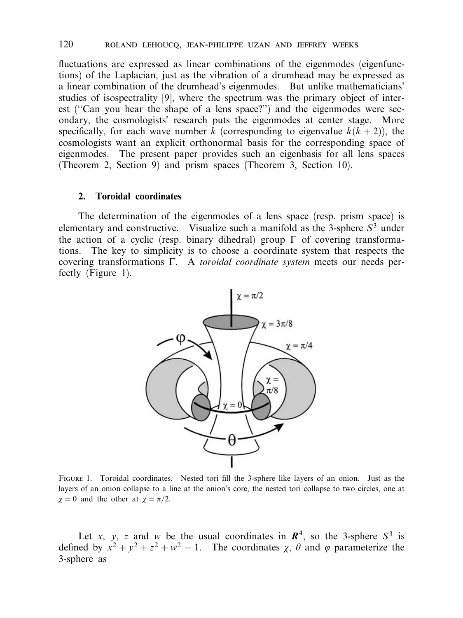fluctuations are expressed as linear combinations of the eigenmodes (eigenfunctions) of the Laplacian, just as the vibration of a drumhead may be expressed as a linear combination of the drumhead's eigenmodes. But unlike mathematicians' studies of isospectrality [9], where the spectrum was the primary object of interest (''Can you hear the shape of a lens space?'') and the eigenmodes were secondary, the cosmologists' research puts the eigenmodes at center stage. More specifically, for each wave number k (corresponding to eigenvalue  $k(k+2)$ ), the cosmologists want an explicit orthonormal basis for the corresponding space of eigenmodes. The present paper provides such an eigenbasis for all lens spaces (Theorem 2, Section 9) and prism spaces (Theorem 3, Section 10).

### 2. Toroidal coordinates

The determination of the eigenmodes of a lens space (resp. prism space) is elementary and constructive. Visualize such a manifold as the 3-sphere  $S<sup>3</sup>$  under the action of a cyclic (resp. binary dihedral) group  $\Gamma$  of covering transformations. The key to simplicity is to choose a coordinate system that respects the covering transformations  $\Gamma$ . A toroidal coordinate system meets our needs perfectly (Figure 1).



Figure 1. Toroidal coordinates. Nested tori fill the 3-sphere like layers of an onion. Just as the layers of an onion collapse to a line at the onion's core, the nested tori collapse to two circles, one at  $\chi = 0$  and the other at  $\chi = \pi/2$ .

Let x, y, z and w be the usual coordinates in  $\mathbb{R}^4$ , so the 3-sphere  $S^3$  is defined by  $x^2 + y^2 + z^2 + w^2 = 1$ . The coordinates  $\chi$ ,  $\theta$  and  $\varphi$  parameterize the 3-sphere as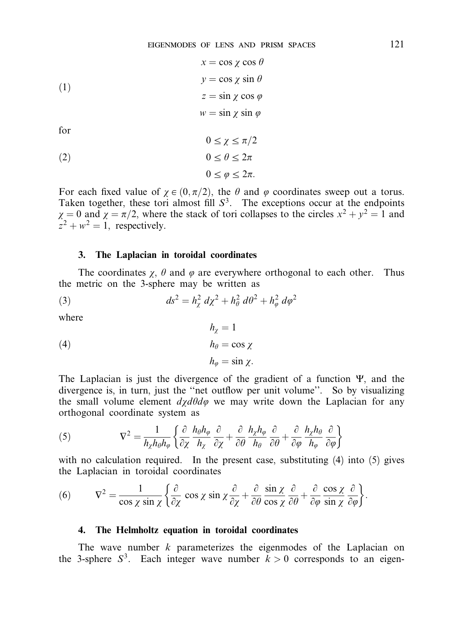(1)  
\n
$$
x = \cos \chi \cos \theta
$$
\n
$$
y = \cos \chi \sin \theta
$$
\n
$$
z = \sin \chi \cos \varphi
$$
\n
$$
w = \sin \chi \sin \varphi
$$
\nfor\n
$$
0 \le \chi \le \pi/2
$$
\n(2)  
\n
$$
0 \le \theta \le 2\pi
$$

$$
0\leq \varphi \leq 2\pi.
$$

For each fixed value of  $\chi \in (0, \pi/2)$ , the  $\theta$  and  $\varphi$  coordinates sweep out a torus. Taken together, these tori almost fill  $S<sup>3</sup>$ . The exceptions occur at the endpoints  $\chi = 0$  and  $\chi = \pi/2$ , where the stack of tori collapses to the circles  $x^2 + y^2 = 1$  and  $z^2 + w^2 = 1$ , respectively.

### 3. The Laplacian in toroidal coordinates

The coordinates  $\chi$ ,  $\theta$  and  $\varphi$  are everywhere orthogonal to each other. Thus the metric on the 3-sphere may be written as

 $h_r = 1$ 

(3) 
$$
ds^{2} = h_{\chi}^{2} d\chi^{2} + h_{\theta}^{2} d\theta^{2} + h_{\varphi}^{2} d\varphi^{2}
$$

where

(4) 
$$
h_{\theta} = \cos \chi
$$

$$
h_{\varphi} = \sin \chi.
$$

The Laplacian is just the divergence of the gradient of a function  $\Psi$ , and the divergence is, in turn, just the ''net outflow per unit volume''. So by visualizing the small volume element  $d\chi d\theta d\varphi$  we may write down the Laplacian for any orthogonal coordinate system as

(5) 
$$
\nabla^2 = \frac{1}{h_\chi h_\theta h_\varphi} \left\{ \frac{\partial}{\partial \chi} \frac{h_\theta h_\varphi}{h_\chi} \frac{\partial}{\partial \chi} + \frac{\partial}{\partial \theta} \frac{h_\chi h_\varphi}{h_\theta} \frac{\partial}{\partial \theta} + \frac{\partial}{\partial \varphi} \frac{h_\chi h_\theta}{h_\varphi} \frac{\partial}{\partial \varphi} \right\}
$$

with no calculation required. In the present case, substituting (4) into (5) gives the Laplacian in toroidal coordinates

(6) 
$$
\nabla^2 = \frac{1}{\cos \chi \sin \chi} \left\{ \frac{\partial}{\partial \chi} \cos \chi \sin \chi \frac{\partial}{\partial \chi} + \frac{\partial}{\partial \theta} \frac{\sin \chi}{\cos \chi} \frac{\partial}{\partial \theta} + \frac{\partial}{\partial \varphi} \frac{\cos \chi}{\sin \chi} \frac{\partial}{\partial \varphi} \right\}.
$$

#### 4. The Helmholtz equation in toroidal coordinates

The wave number  $k$  parameterizes the eigenmodes of the Laplacian on the 3-sphere  $S^3$ . Each integer wave number  $k > 0$  corresponds to an eigen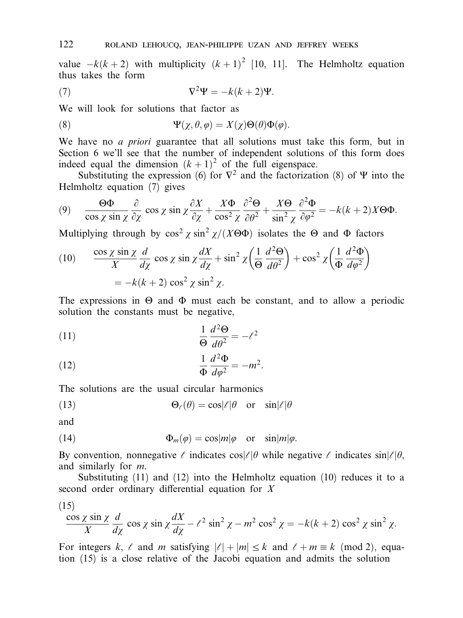value  $-k(k+2)$  with multiplicity  $(k+1)^2$  [10, 11]. The Helmholtz equation thus takes the form

(7) 
$$
\nabla^2 \Psi = -k(k+2)\Psi.
$$

We will look for solutions that factor as

(8) 
$$
\Psi(\chi,\theta,\varphi)=X(\chi)\Theta(\theta)\Phi(\varphi).
$$

We have no *a priori* guarantee that all solutions must take this form, but in Section 6 we'll see that the number of independent solutions of this form does indeed equal the dimension  $(k + 1)^2$  of the full eigenspace.

Substituting the expression (6) for  $\nabla^2$  and the factorization (8) of  $\Psi$  into the Helmholtz equation (7) gives

(9) 
$$
\frac{\Theta \Phi}{\cos \chi \sin \chi} \frac{\partial}{\partial \chi} \cos \chi \sin \chi \frac{\partial X}{\partial \chi} + \frac{X \Phi}{\cos^2 \chi} \frac{\partial^2 \Theta}{\partial \theta^2} + \frac{X \Theta}{\sin^2 \chi} \frac{\partial^2 \Phi}{\partial \varphi^2} = -k(k+2)X \Theta \Phi.
$$

Multiplying through by  $\cos^2 \chi \sin^2 \chi/(X\Theta \Phi)$  isolates the  $\Theta$  and  $\Phi$  factors

(10) 
$$
\frac{\cos \chi \sin \chi}{X} \frac{d}{d\chi} \cos \chi \sin \chi \frac{dX}{d\chi} + \sin^2 \chi \left( \frac{1}{\Theta} \frac{d^2 \Theta}{d\theta^2} \right) + \cos^2 \chi \left( \frac{1}{\Phi} \frac{d^2 \Phi}{d\phi^2} \right)
$$

$$
= -k(k+2) \cos^2 \chi \sin^2 \chi.
$$

The expressions in  $\Theta$  and  $\Phi$  must each be constant, and to allow a periodic solution the constants must be negative,

(11) 
$$
\frac{1}{\Theta} \frac{d^2 \Theta}{d\theta^2} = -\ell^2
$$

(12) 
$$
\frac{1}{\Phi} \frac{d^2 \Phi}{d\varphi^2} = -m^2.
$$

The solutions are the usual circular harmonics

(13) 
$$
\Theta_{\ell}(\theta) = \cos|\ell|\theta \text{ or } \sin|\ell|\theta
$$

and

(14) 
$$
\Phi_m(\varphi) = \cos|m|\varphi \text{ or } \sin|m|\varphi.
$$

By convention, nonnegative  $\ell$  indicates cos $|\ell|\theta$  while negative  $\ell$  indicates sin $|\ell|\theta$ , and similarly for m.

Substituting  $(11)$  and  $(12)$  into the Helmholtz equation  $(10)$  reduces it to a second order ordinary differential equation for  $X$ 

(15)  
\n
$$
\frac{\cos \chi \sin \chi}{X} \frac{d}{d\chi} \cos \chi \sin \chi \frac{dX}{d\chi} - \ell^2 \sin^2 \chi - m^2 \cos^2 \chi = -k(k+2) \cos^2 \chi \sin^2 \chi.
$$

For integers k,  $\ell$  and m satisfying  $|\ell| + |m| \leq k$  and  $\ell + m \equiv k \pmod{2}$ , equation (15) is a close relative of the Jacobi equation and admits the solution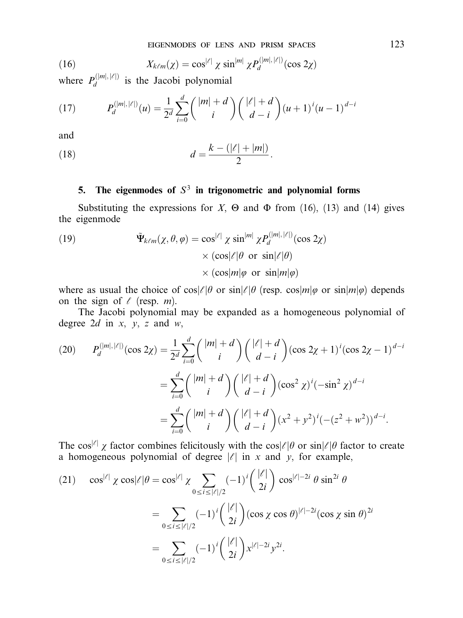(16) 
$$
X_{k\ell m}(\chi) = \cos^{|\ell|} \chi \sin^{|m|} \chi P_d^{(|m|,|\ell|)}(\cos 2\chi)
$$

where  $P_d^{(|m|, |\ell|)}$  is the Jacobi polynomial

(17) 
$$
P_d^{(|m|, |\ell|)}(u) = \frac{1}{2^d} \sum_{i=0}^d \binom{|m|+d}{i} \binom{|\ell|+d}{d-i} (u+1)^i (u-1)^{d-i}
$$

and

(18) 
$$
d = \frac{k - (|\ell| + |m|)}{2}.
$$

# 5. The eigenmodes of  $S<sup>3</sup>$  in trigonometric and polynomial forms

Substituting the expressions for  $X$ ,  $\Theta$  and  $\Phi$  from (16), (13) and (14) gives the eigenmode

(19) 
$$
\tilde{\Psi}_{k\ell m}(\chi,\theta,\varphi) = \cos^{|\ell|} \chi \sin^{|m|} \chi P_d^{(|m|,|\ell|)}(\cos 2\chi) \times (\cos|\ell| \theta \text{ or } \sin|\ell| \theta) \times (\cos|m|\varphi \text{ or } \sin|m|\varphi)
$$

where as usual the choice of  $\cos\ell/\theta$  or  $\sin\ell/\theta$  (resp.  $\cos\ell/m/\varphi$  or  $\sin\ell/m/\varphi$ ) depends on the sign of  $\ell$  (resp. *m*).

The Jacobi polynomial may be expanded as a homogeneous polynomial of degree 2*d* in  $x, y, z$  and  $w$ ,

$$
(20) \qquad P_d^{(|m|, |\ell|)}(\cos 2\chi) = \frac{1}{2^d} \sum_{i=0}^d { |m| + d \choose i} { |\ell| + d \choose d-i} (\cos 2\chi + 1)^i (\cos 2\chi - 1)^{d-i}
$$

$$
= \sum_{i=0}^d { |m| + d \choose i} { |\ell| + d \choose d-i} (\cos^2 \chi)^i (-\sin^2 \chi)^{d-i}
$$

$$
= \sum_{i=0}^d { |m| + d \choose i} { |\ell| + d \choose d-i} (x^2 + y^2)^i (- (z^2 + w^2))^{d-i}.
$$

The cos<sup>|e|</sup>  $\chi$  factor combines felicitously with the cos|e|\elleft or sin|e|\elleft factor to create a homogeneous polynomial of degree  $|\ell|$  in x and y, for example,

(21) 
$$
\cos^{|\ell|} \chi \cos |\ell| \theta = \cos^{|\ell|} \chi \sum_{0 \le i \le |\ell|/2} (-1)^i {\binom{|\ell|}{2i}} \cos^{|\ell|-2i} \theta \sin^{2i} \theta
$$

$$
= \sum_{0 \le i \le |\ell|/2} (-1)^i {\binom{|\ell|}{2i}} (\cos \chi \cos \theta)^{|\ell|-2i} (\cos \chi \sin \theta)^{2i}
$$

$$
= \sum_{0 \le i \le |\ell|/2} (-1)^i {\binom{|\ell|}{2i}} x^{|\ell|-2i} y^{2i}.
$$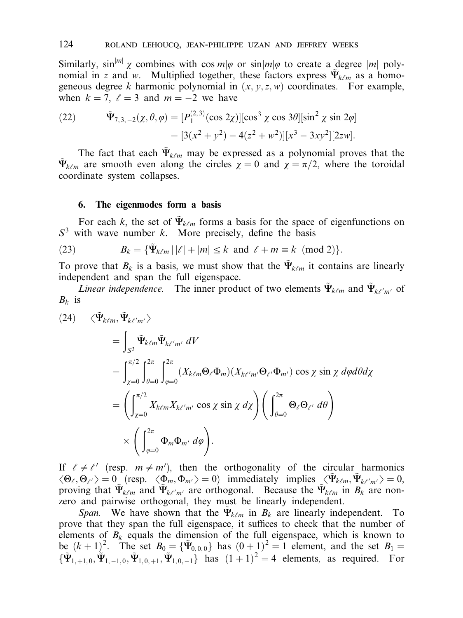Similarly,  $\sin^{m} \chi$  combines with  $\cos[m]\varphi$  or  $\sin[m]\varphi$  to create a degree  $|m|$  polynomial in z and w. Multiplied together, these factors express  $\tilde{\Psi}_{k\ell m}$  as a homogeneous degree k harmonic polynomial in  $(x, y, z, w)$  coordinates. For example, when  $k = 7$ ,  $\ell = 3$  and  $m = -2$  we have

(22) 
$$
\tilde{\Psi}_{7,3,-2}(\chi,\theta,\varphi) = [P_1^{(2,3)}(\cos 2\chi)][\cos^3 \chi \cos 3\theta][\sin^2 \chi \sin 2\varphi] \n= [3(x^2 + y^2) - 4(z^2 + w^2)][x^3 - 3xy^2][2zw].
$$

The fact that each  $\tilde{\Psi}_{k\ell m}$  may be expressed as a polynomial proves that the  $\tilde{\Psi}_{k\ell m}$  are smooth even along the circles  $\chi = 0$  and  $\chi = \pi/2$ , where the toroidal coordinate system collapses.

### 6. The eigenmodes form a basis

For each k, the set of  $\tilde{\Psi}_{k\ell m}$  forms a basis for the space of eigenfunctions on  $S<sup>3</sup>$  with wave number k. More precisely, define the basis

(23) 
$$
B_k = {\{\tilde{\Psi}_{k\ell m} | |\ell| + |m| \le k \text{ and } \ell + m \equiv k \pmod{2}}.
$$

To prove that  $B_k$  is a basis, we must show that the  $\Psi_{k\ell m}$  it contains are linearly independent and span the full eigenspace.

Linear independence. The inner product of two elements  $\tilde{\Psi}_{k\ell m}$  and  $\tilde{\Psi}_{k\ell'm'}$  of  $B_k$  is

$$
(24) \quad \langle \tilde{\Psi}_{k\ell m}, \tilde{\Psi}_{k\ell'm'} \rangle
$$
  
\n
$$
= \int_{S^3} \tilde{\Psi}_{k\ell m} \tilde{\Psi}_{k\ell'm'} dV
$$
  
\n
$$
= \int_{\chi=0}^{\pi/2} \int_{\theta=0}^{2\pi} \int_{\varphi=0}^{2\pi} (X_{k\ell m} \Theta_{\ell} \Phi_m) (X_{k\ell'm'} \Theta_{\ell'} \Phi_{m'}) \cos \chi \sin \chi \, d\varphi d\theta d\chi
$$
  
\n
$$
= \left( \int_{\chi=0}^{\pi/2} X_{k\ell m} X_{k\ell'm'} \cos \chi \sin \chi \, d\chi \right) \left( \int_{\theta=0}^{2\pi} \Theta_{\ell} \Theta_{\ell'} d\theta \right)
$$
  
\n
$$
\times \left( \int_{\varphi=0}^{2\pi} \Phi_m \Phi_{m'} d\varphi \right).
$$

If  $\ell \neq \ell'$  (resp.  $m \neq m'$ ), then the orthogonality of the circular harmonics  $\langle \Theta_{\ell}, \Theta_{\ell'} \rangle = 0$  (resp.  $\langle \Phi_m, \Phi_{m'} \rangle = 0$ ) immediately implies  $\langle \Psi_{k\ell m}, \Psi_{k\ell' m'} \rangle = 0$ , proving that  $\tilde{\Psi}_{k\ell m}$  and  $\tilde{\Psi}_{k\ell' m'}$  are orthogonal. Because the  $\tilde{\Psi}_{k\ell m}$  in  $B_k$  are nonzero and pairwise orthogonal, they must be linearly independent.

Span. We have shown that the  $\tilde{\Psi}_{k\ell m}$  in  $B_k$  are linearly independent. To prove that they span the full eigenspace, it suffices to check that the number of elements of  $B_k$  equals the dimension of the full eigenspace, which is known to be  $(k + 1)^2$ . The set  $B_0 = {\tilde{\Psi}_{0,0,0}}$  has  $(0 + 1)^2 = 1$  element, and the set  $B_1 =$  $\{\tilde{\Psi}_{1,+1,0}, \tilde{\Psi}_{1,-1,0}, \tilde{\Psi}_{1,0,+1}, \tilde{\Psi}_{1,0,-1}\}$  has  $(1+1)^2 = 4$  elements, as required. For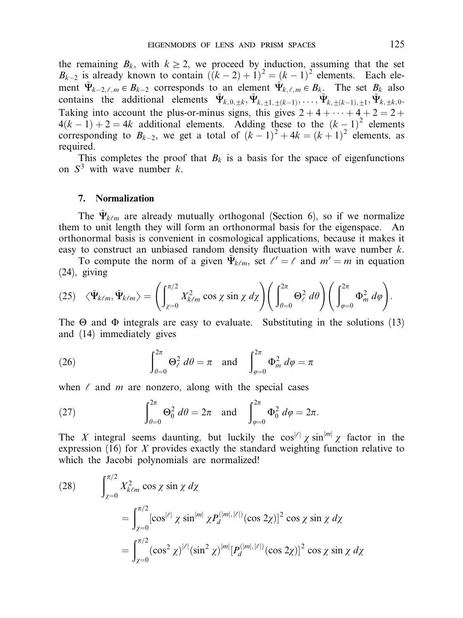the remaining  $B_k$ , with  $k \geq 2$ , we proceed by induction, assuming that the set  $B_{k-2}$  is already known to contain  $((k-2)+1)^2 = (k-1)^2$  elements. Each element  $\tilde{\Psi}_{k-2,\ell,m} \in B_{k-2}$  corresponds to an element  $\tilde{\Psi}_{k,\ell,m} \in B_k$ . The set  $B_k$  also contains the additional elements  $\tilde{\Psi}_{k,0,\pm k}, \tilde{\Psi}_{k,1+\pm(k-1)}, \ldots, \tilde{\Psi}_{k+\pm(k-1),+1}, \tilde{\Psi}_{k,\pm k,0}$ . Taking into account the plus-or-minus signs, this gives  $2 + 4 + \cdots + 4 + 2 = 2 +$  $4(k-1) + 2 = 4k$  additional elements. Adding these to the  $(k-1)^2$  elements corresponding to  $B_{k-2}$ , we get a total of  $(k-1)^2 + 4k = (k+1)^2$  elements, as required.

This completes the proof that  $B_k$  is a basis for the space of eigenfunctions on  $S<sup>3</sup>$  with wave number k.

### 7. Normalization

The  $\tilde{\Psi}_{k\ell m}$  are already mutually orthogonal (Section 6), so if we normalize them to unit length they will form an orthonormal basis for the eigenspace. An orthonormal basis is convenient in cosmological applications, because it makes it easy to construct an unbiased random density fluctuation with wave number  $k$ .

To compute the norm of a given  $\tilde{\Psi}_{k\ell m}$ , set  $\ell' = \ell$  and  $m' = m$  in equation (24), giving

(25) 
$$
\langle \tilde{\Psi}_{k\ell m}, \tilde{\Psi}_{k\ell m} \rangle = \left( \int_{\chi=0}^{\pi/2} X_{k\ell m}^2 \cos \chi \sin \chi \ d\chi \right) \left( \int_{\theta=0}^{2\pi} \Theta_\ell^2 \ d\theta \right) \left( \int_{\varphi=0}^{2\pi} \Phi_m^2 \ d\varphi \right).
$$

The  $\Theta$  and  $\Phi$  integrals are easy to evaluate. Substituting in the solutions (13) and (14) immediately gives

(26) 
$$
\int_{\theta=0}^{2\pi} \Theta_{\ell}^2 d\theta = \pi \text{ and } \int_{\varphi=0}^{2\pi} \Phi_m^2 d\varphi = \pi
$$

when  $\ell$  and  $m$  are nonzero, along with the special cases

(27) 
$$
\int_{\theta=0}^{2\pi} \Theta_0^2 d\theta = 2\pi \text{ and } \int_{\varphi=0}^{2\pi} \Phi_0^2 d\varphi = 2\pi.
$$

The X integral seems daunting, but luckily the  $\cos^{|\ell|} \chi \sin^{|\mathfrak{m}|} \chi$  factor in the expression  $(16)$  for X provides exactly the standard weighting function relative to which the Jacobi polynomials are normalized!

(28) 
$$
\int_{\chi=0}^{\pi/2} X_{k\ell m}^2 \cos \chi \sin \chi \, d\chi
$$
  
= 
$$
\int_{\chi=0}^{\pi/2} [\cos^{|\ell|} \chi \sin^{|m|} \chi P_d^{(|m|,|\ell|)} (\cos 2\chi)]^2 \cos \chi \sin \chi \, d\chi
$$
  
= 
$$
\int_{\chi=0}^{\pi/2} (\cos^2 \chi)^{|\ell|} (\sin^2 \chi)^{|m|} [P_d^{(|m|,|\ell|)} (\cos 2\chi)]^2 \cos \chi \sin \chi \, d\chi
$$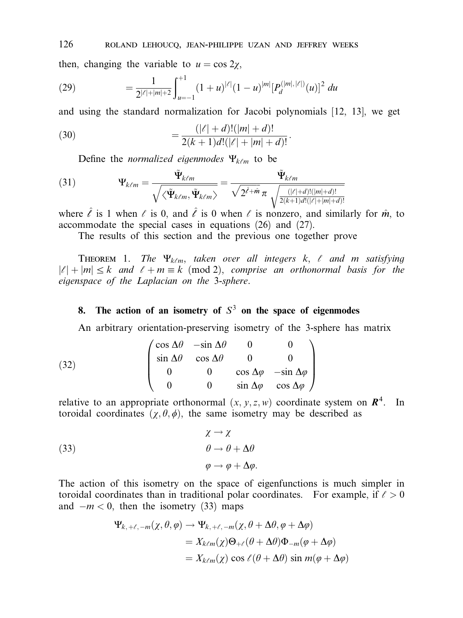126 roland lehoucq, jean-philippe uzan and jeffrey weeks

then, changing the variable to  $u = \cos 2\chi$ ,

(29) 
$$
= \frac{1}{2^{|\ell|+|m|+2}} \int_{u=-1}^{+1} (1+u)^{|\ell|} (1-u)^{|m|} [P_d^{(|m|,|\ell|)}(u)]^2 du
$$

and using the standard normalization for Jacobi polynomials [12, 13], we get

(30) 
$$
= \frac{(|\ell|+d)!(|m|+d)!}{2(k+1)d!(|\ell|+|m|+d)!}.
$$

Define the *normalized eigenmodes*  $\Psi_{k\ell m}$  to be

(31) 
$$
\Psi_{k\ell m} = \frac{\tilde{\Psi}_{k\ell m}}{\sqrt{\langle \tilde{\Psi}_{k\ell m}, \tilde{\Psi}_{k\ell m} \rangle}} = \frac{\tilde{\Psi}_{k\ell m}}{\sqrt{2^{\ell+m}} \pi \sqrt{\frac{(|\ell|+d)!(|m|+d)!}{2(k+1)d!(|\ell|+|m|+d)!}}}
$$

where  $\hat{\ell}$  is 1 when  $\ell$  is 0, and  $\hat{\ell}$  is 0 when  $\ell$  is nonzero, and similarly for  $\hat{m}$ , to accommodate the special cases in equations (26) and (27).

The results of this section and the previous one together prove

THEOREM 1. The  $\Psi_{k\ell m}$ , taken over all integers k,  $\ell$  and m satisfying  $|l| + |m| \leq k$  and  $l + m \equiv k \pmod{2}$ , comprise an orthonormal basis for the eigenspace of the Laplacian on the 3-sphere.

# 8. The action of an isometry of  $S<sup>3</sup>$  on the space of eigenmodes

An arbitrary orientation-preserving isometry of the 3-sphere has matrix

(32) 
$$
\begin{pmatrix}\n\cos \Delta \theta & -\sin \Delta \theta & 0 & 0 \\
\sin \Delta \theta & \cos \Delta \theta & 0 & 0 \\
0 & 0 & \cos \Delta \phi & -\sin \Delta \phi \\
0 & 0 & \sin \Delta \phi & \cos \Delta \phi\n\end{pmatrix}
$$

relative to an appropriate orthonormal  $(x, y, z, w)$  coordinate system on  $\mathbb{R}^4$ . In toroidal coordinates  $(\gamma, \theta, \phi)$ , the same isometry may be described as

(33)  
\n
$$
\begin{aligned}\n \chi &\to \chi \\
 \theta &\to \theta + \Delta\theta \\
 \varphi &\to \varphi + \Delta\varphi.\n \end{aligned}
$$

The action of this isometry on the space of eigenfunctions is much simpler in toroidal coordinates than in traditional polar coordinates. For example, if  $\ell > 0$ and  $-m < 0$ , then the isometry (33) maps

$$
\Psi_{k, +\ell, -m}(\chi, \theta, \varphi) \to \Psi_{k, +\ell, -m}(\chi, \theta + \Delta\theta, \varphi + \Delta\varphi)
$$
  
=  $X_{k\ell m}(\chi)\Theta_{+\ell}(\theta + \Delta\theta)\Phi_{-m}(\varphi + \Delta\varphi)$   
=  $X_{k\ell m}(\chi) \cos \ell(\theta + \Delta\theta) \sin m(\varphi + \Delta\varphi)$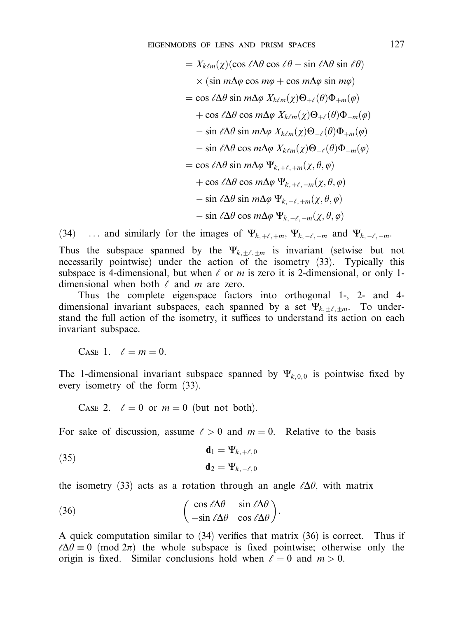eigenmodes of lens and prism spaces 127

$$
= X_{k\ell m}(\chi)(\cos \ell \Delta \theta \cos \ell \theta - \sin \ell \Delta \theta \sin \ell \theta)
$$
  
\n
$$
\times (\sin m\Delta \varphi \cos m\varphi + \cos m\Delta \varphi \sin m\varphi)
$$
  
\n
$$
= \cos \ell \Delta \theta \sin m\Delta \varphi X_{k\ell m}(\chi) \Theta_{+\ell}(\theta) \Phi_{+m}(\varphi)
$$
  
\n
$$
+ \cos \ell \Delta \theta \cos m\Delta \varphi X_{k\ell m}(\chi) \Theta_{+\ell}(\theta) \Phi_{-m}(\varphi)
$$
  
\n
$$
- \sin \ell \Delta \theta \sin m\Delta \varphi X_{k\ell m}(\chi) \Theta_{-\ell}(\theta) \Phi_{+m}(\varphi)
$$
  
\n
$$
- \sin \ell \Delta \theta \cos m\Delta \varphi X_{k\ell m}(\chi) \Theta_{-\ell}(\theta) \Phi_{-m}(\varphi)
$$
  
\n
$$
= \cos \ell \Delta \theta \sin m\Delta \varphi \Psi_{k, +\ell, +m}(\chi, \theta, \varphi)
$$
  
\n
$$
+ \cos \ell \Delta \theta \cos m\Delta \varphi \Psi_{k, +\ell, -m}(\chi, \theta, \varphi)
$$
  
\n
$$
- \sin \ell \Delta \theta \sin m\Delta \varphi \Psi_{k, -\ell, +m}(\chi, \theta, \varphi)
$$
  
\n
$$
- \sin \ell \Delta \theta \cos m\Delta \varphi \Psi_{k, -\ell, -m}(\chi, \theta, \varphi)
$$

(34) ... and similarly for the images of  $\Psi_{k,+\ell,+m}$ ,  $\Psi_{k,-\ell,+m}$  and  $\Psi_{k,-\ell,-m}$ .

Thus the subspace spanned by the  $\Psi_{k,\pm\ell,\pm m}$  is invariant (setwise but not necessarily pointwise) under the action of the isometry (33). Typically this subspace is 4-dimensional, but when  $\ell$  or m is zero it is 2-dimensional, or only 1dimensional when both  $\ell$  and  $m$  are zero.

Thus the complete eigenspace factors into orthogonal 1-, 2- and 4 dimensional invariant subspaces, each spanned by a set  $\Psi_{k,+\ell,+m}$ . To understand the full action of the isometry, it suffices to understand its action on each invariant subspace.

CASE 1.  $\ell = m = 0$ .

The 1-dimensional invariant subspace spanned by  $\Psi_{k, 0, 0}$  is pointwise fixed by every isometry of the form (33).

CASE 2.  $\ell = 0$  or  $m = 0$  (but not both).

For sake of discussion, assume  $l > 0$  and  $m = 0$ . Relative to the basis

(35) 
$$
\mathbf{d}_1 = \mathbf{\Psi}_{k, +\ell, 0}
$$

$$
\mathbf{d}_2 = \mathbf{\Psi}_{k, -\ell, 0}
$$

the isometry (33) acts as a rotation through an angle  $\ell\Delta\theta$ , with matrix

(36) 
$$
\begin{pmatrix} \cos \ell \Delta \theta & \sin \ell \Delta \theta \\ -\sin \ell \Delta \theta & \cos \ell \Delta \theta \end{pmatrix}.
$$

A quick computation similar to (34) verifies that matrix (36) is correct. Thus if  $\ell\Delta\theta \equiv 0 \pmod{2\pi}$  the whole subspace is fixed pointwise; otherwise only the origin is fixed. Similar conclusions hold when  $\ell = 0$  and  $m > 0$ .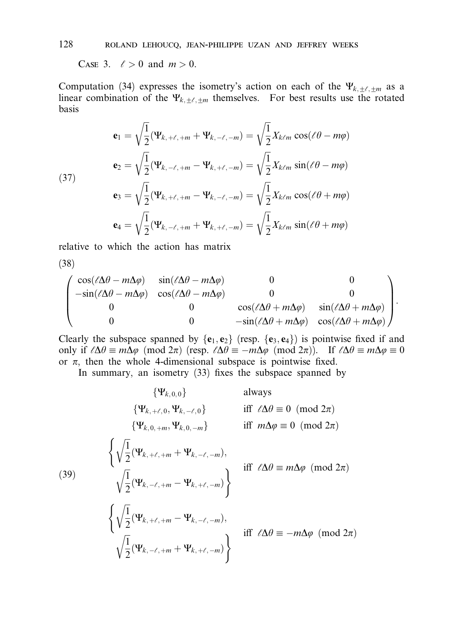Case 3.  $\ell > 0$  and  $m > 0$ .

Computation (34) expresses the isometry's action on each of the  $\Psi_{k,\pm\ell,\pm m}$  as a linear combination of the  $\Psi_{k,\pm\ell,\pm m}$  themselves. For best results use the rotated basis

(37)  
\n
$$
\mathbf{e}_{1} = \sqrt{\frac{1}{2}} (\Psi_{k, +\ell, +m} + \Psi_{k, -\ell, -m}) = \sqrt{\frac{1}{2}} X_{k\ell m} \cos(\ell \theta - m\varphi)
$$
\n
$$
\mathbf{e}_{2} = \sqrt{\frac{1}{2}} (\Psi_{k, -\ell, +m} - \Psi_{k, +\ell, -m}) = \sqrt{\frac{1}{2}} X_{k\ell m} \sin(\ell \theta - m\varphi)
$$
\n
$$
\mathbf{e}_{3} = \sqrt{\frac{1}{2}} (\Psi_{k, +\ell, +m} - \Psi_{k, -\ell, -m}) = \sqrt{\frac{1}{2}} X_{k\ell m} \cos(\ell \theta + m\varphi)
$$
\n
$$
\mathbf{e}_{4} = \sqrt{\frac{1}{2}} (\Psi_{k, -\ell, +m} + \Psi_{k, +\ell, -m}) = \sqrt{\frac{1}{2}} X_{k\ell m} \sin(\ell \theta + m\varphi)
$$

relative to which the action has matrix

(38)

$$
\begin{pmatrix}\n\cos(\ell \Delta \theta - m \Delta \varphi) & \sin(\ell \Delta \theta - m \Delta \varphi) & 0 & 0 \\
-\sin(\ell \Delta \theta - m \Delta \varphi) & \cos(\ell \Delta \theta - m \Delta \varphi) & 0 & 0 \\
0 & 0 & \cos(\ell \Delta \theta + m \Delta \varphi) & \sin(\ell \Delta \theta + m \Delta \varphi) \\
0 & 0 & -\sin(\ell \Delta \theta + m \Delta \varphi) & \cos(\ell \Delta \theta + m \Delta \varphi)\n\end{pmatrix}.
$$

Clearly the subspace spanned by  ${e_1, e_2}$  (resp.  ${e_3, e_4}$ ) is pointwise fixed if and only if  $\ell \Delta \theta \equiv m \Delta \varphi \pmod{2\pi}$  (resp.  $\ell \Delta \theta \equiv -m \Delta \varphi \pmod{2\pi}$ ). If  $\ell \Delta \theta \equiv m \Delta \varphi \equiv 0$ or  $\pi$ , then the whole 4-dimensional subspace is pointwise fixed.

In summary, an isometry (33) fixes the subspace spanned by

(39)  
\n
$$
\{\Psi_{k, \theta, 0}\} \qquad \text{always}
$$
\n
$$
\{\Psi_{k, \theta, +m}, \Psi_{k, 0, -m}\} \qquad \text{iff } \ell \Delta \theta \equiv 0 \pmod{2\pi}
$$
\n
$$
\{\Psi_{k, 0, +m}, \Psi_{k, 0, -m}\} \qquad \text{iff } m\Delta \varphi \equiv 0 \pmod{2\pi}
$$
\n
$$
\left\{\sqrt{\frac{1}{2}}(\Psi_{k, +\ell, +m} + \Psi_{k, -\ell, -m}), \qquad \text{iff } \ell \Delta \theta \equiv m\Delta \varphi \pmod{2\pi}
$$
\n
$$
\left\{\sqrt{\frac{1}{2}}(\Psi_{k, -\ell, +m} - \Psi_{k, +\ell, -m})\right\} \qquad \text{iff } \ell \Delta \theta \equiv m\Delta \varphi \pmod{2\pi}
$$
\n
$$
\left\{\sqrt{\frac{1}{2}}(\Psi_{k, +\ell, +m} - \Psi_{k, -\ell, -m}), \qquad \text{iff } \ell \Delta \theta \equiv -m\Delta \varphi \pmod{2\pi}
$$
\n
$$
\sqrt{\frac{1}{2}}(\Psi_{k, -\ell, +m} + \Psi_{k, +\ell, -m})\right\} \qquad \text{iff } \ell \Delta \theta \equiv -m\Delta \varphi \pmod{2\pi}
$$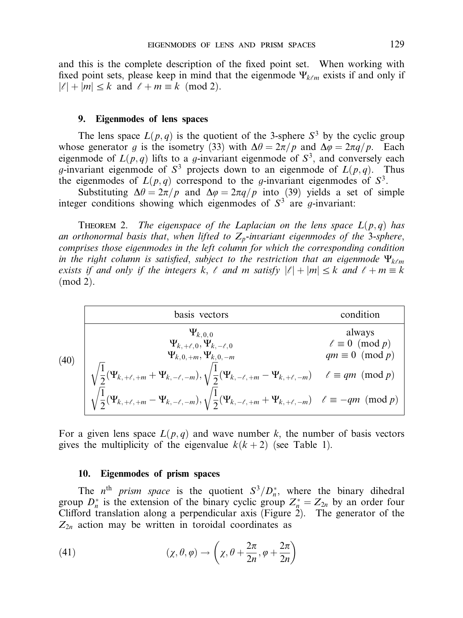and this is the complete description of the fixed point set. When working with fixed point sets, please keep in mind that the eigenmode  $\Psi_{k\ell m}$  exists if and only if  $|l| + |m| \leq k$  and  $l + m \equiv k \pmod{2}$ .

### 9. Eigenmodes of lens spaces

The lens space  $L(p,q)$  is the quotient of the 3-sphere  $S^3$  by the cyclic group whose generator g is the isometry (33) with  $\Delta \theta = 2\pi/p$  and  $\Delta \phi = 2\pi q/p$ . Each eigenmode of  $L(p,q)$  lifts to a g-invariant eigenmode of  $S^3$ , and conversely each g-invariant eigenmode of  $S^3$  projects down to an eigenmode of  $L(p,q)$ . Thus the eigenmodes of  $L(p,q)$  correspond to the g-invariant eigenmodes of  $S^3$ .

Substituting  $\Delta \theta = 2\pi/p$  and  $\Delta \varphi = 2\pi q/p$  into (39) yields a set of simple integer conditions showing which eigenmodes of  $S<sup>3</sup>$  are q-invariant:

THEOREM 2. The eigenspace of the Laplacian on the lens space  $L(p,q)$  has an orthonormal basis that, when lifted to  $Z_p$ -invariant eigenmodes of the 3-sphere, comprises those eigenmodes in the left column for which the corresponding condition in the right column is satisfied, subject to the restriction that an eigenmode  $\Psi_{k\ell m}$ exists if and only if the integers k,  $\ell$  and m satisfy  $|\ell| + |m| \leq k$  and  $\ell + m \equiv k$  $(mod 2).$ 

|  | basis vectors                                                                                                                                                                                                                                                                                                                                                                                                             | condition                          |  |  |
|--|---------------------------------------------------------------------------------------------------------------------------------------------------------------------------------------------------------------------------------------------------------------------------------------------------------------------------------------------------------------------------------------------------------------------------|------------------------------------|--|--|
|  | $\Psi_{k,0,0}$<br>$\Psi_{k, +\ell, 0}, \Psi_{k, -\ell, 0}$<br>$\Psi_{k, 0, +m}, \Psi_{k, 0, -m}$                                                                                                                                                                                                                                                                                                                          | always<br>$\ell \equiv 0 \pmod{p}$ |  |  |
|  | (40)<br>$\sqrt{\frac{1}{2}}(\Psi_{k, +\ell, +m} + \Psi_{k, -\ell, -m}), \sqrt{\frac{1}{2}}(\Psi_{k, -\ell, +m} - \Psi_{k, +\ell, -m}) \quad \ell \equiv qm \pmod{p}$<br>$\sqrt{\frac{1}{2}}(\Psi_{k, +\ell, +m} + \Psi_{k, -\ell, -m}), \sqrt{\frac{1}{2}}(\Psi_{k, -\ell, +m} - \Psi_{k, +\ell, -m}) \quad \ell \equiv qm \pmod{p}$<br>$\sqrt{\frac{1}{2}}(\Psi_{k, +\ell, +m} - \Psi_{k, -\ell, -m}), \sqrt{\frac{1}{2$ |                                    |  |  |
|  |                                                                                                                                                                                                                                                                                                                                                                                                                           |                                    |  |  |

For a given lens space  $L(p, q)$  and wave number k, the number of basis vectors gives the multiplicity of the eigenvalue  $k(k+2)$  (see Table 1).

### 10. Eigenmodes of prism spaces

The n<sup>th</sup> prism space is the quotient  $S^3/D_n^*$ , where the binary dihedral group  $D_n^*$  is the extension of the binary cyclic group  $Z_n^* = Z_{2n}$  by an order four Clifford translation along a perpendicular axis (Figure  $2$ ). The generator of the  $Z_{2n}$  action may be written in toroidal coordinates as

(41) 
$$
(\chi, \theta, \varphi) \to \left(\chi, \theta + \frac{2\pi}{2n}, \varphi + \frac{2\pi}{2n}\right)
$$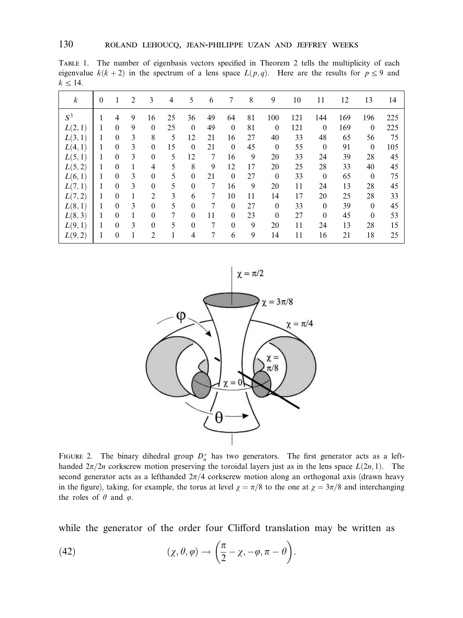Table 1. The number of eigenbasis vectors specified in Theorem 2 tells the multiplicity of each eigenvalue  $k(k+2)$  in the spectrum of a lens space  $L(p,q)$ . Here are the results for  $p \le 9$  and  $k \leq 14$ .

| k       | $\theta$ | 1              | $\overline{2}$ | 3              | 4      | 5            | 6  | 7            | 8  | 9            | 10  | 11           | 12  | 13             | 14  |
|---------|----------|----------------|----------------|----------------|--------|--------------|----|--------------|----|--------------|-----|--------------|-----|----------------|-----|
| $S^3$   |          | $\overline{4}$ | 9              | 16             | 25     | 36           | 49 | 64           | 81 | 100          | 121 | 144          | 169 | 196            | 225 |
| L(2,1)  |          | $\Omega$       | 9              | $\mathbf{0}$   | 25     | $\theta$     | 49 | $\mathbf{0}$ | 81 | $\mathbf{0}$ | 121 | $\mathbf{0}$ | 169 | $\mathbf{0}$   | 225 |
| L(3, 1) | н        | $\theta$       | 3              | 8              | 5      | 12           | 21 | 16           | 27 | 40           | 33  | 48           | 65  | 56             | 75  |
| L(4, 1) |          | $\mathbf{0}$   | 3              | $\mathbf{0}$   | 15     | $\mathbf{0}$ | 21 | $\mathbf{0}$ | 45 | $\mathbf{0}$ | 55  | $\mathbf{0}$ | 91  | $\mathbf{0}$   | 105 |
| L(5,1)  | 1        | $\mathbf{0}$   | 3              | $\mathbf{0}$   | 5      | 12           | 7  | 16           | 9  | 20           | 33  | 24           | 39  | 28             | 45  |
| L(5,2)  | 1        | $\mathbf{0}$   | 1              | $\overline{4}$ | 5      | 8            | 9  | 12           | 17 | 20           | 25  | 28           | 33  | 40             | 45  |
| L(6, 1) |          | $\theta$       | 3              | $\mathbf{0}$   | 5      | $\theta$     | 21 | $\bf{0}$     | 27 | $\mathbf{0}$ | 33  | $\mathbf{0}$ | 65  | $\overline{0}$ | 75  |
| L(7,1)  | 1        | $\theta$       | 3              | $\mathbf{0}$   | 5      | $\mathbf{0}$ | 7  | 16           | 9  | 20           | 11  | 24           | 13  | 28             | 45  |
| L(7,2)  | 1        | $\theta$       | 1              | $\overline{2}$ | 3      | 6            | 7  | 10           | 11 | 14           | 17  | 20           | 25  | 28             | 33  |
| L(8, 1) | 1        | $\theta$       | 3              | $\mathbf{0}$   | 5      | $\theta$     | 7  | $\theta$     | 27 | $\theta$     | 33  | $\mathbf{0}$ | 39  | $\mathbf{0}$   | 45  |
| L(8,3)  | 1        | $\theta$       | 1              | $\mathbf{0}$   | $\tau$ | $\theta$     | 11 | $\mathbf{0}$ | 23 | $\mathbf{0}$ | 27  | $\mathbf{0}$ | 45  | $\mathbf{0}$   | 53  |
| L(9,1)  | 1        | $\theta$       | 3              | $\mathbf{0}$   | 5      | $\theta$     | 7  | $\theta$     | 9  | 20           | 11  | 24           | 13  | 28             | 15  |
| L(9,2)  |          | $\mathbf{0}$   | 1              | $\overline{2}$ |        | 4            | 7  | 6            | 9  | 14           | 11  | 16           | 21  | 18             | 25  |



FIGURE 2. The binary dihedral group  $D_n^*$  has two generators. The first generator acts as a lefthanded  $2\pi/2n$  corkscrew motion preserving the toroidal layers just as in the lens space  $L(2n, 1)$ . The second generator acts as a lefthanded  $2\pi/4$  corkscrew motion along an orthogonal axis (drawn heavy in the figure), taking, for example, the torus at level  $\chi = \pi/8$  to the one at  $\chi = 3\pi/8$  and interchanging the roles of  $\theta$  and  $\varphi$ .

while the generator of the order four Clifford translation may be written as

(42) 
$$
(\chi, \theta, \varphi) \to \left(\frac{\pi}{2} - \chi, -\varphi, \pi - \theta\right).
$$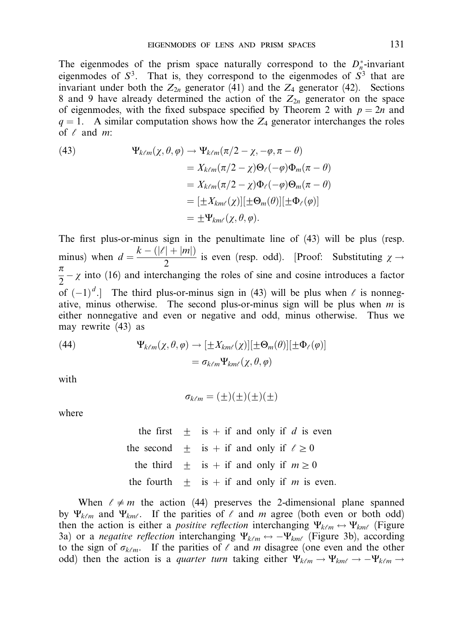The eigenmodes of the prism space naturally correspond to the  $D_n^*$ -invariant eigenmodes of  $S^3$ . That is, they correspond to the eigenmodes of  $S^3$  that are invariant under both the  $Z_{2n}$  generator (41) and the  $Z_4$  generator (42). Sections 8 and 9 have already determined the action of the  $Z_{2n}$  generator on the space of eigenmodes, with the fixed subspace specified by Theorem 2 with  $p = 2n$  and  $q = 1$ . A similar computation shows how the  $Z_4$  generator interchanges the roles of  $\ell$  and  $m$ :

(43)  
\n
$$
\Psi_{k\ell m}(\chi,\theta,\varphi) \to \Psi_{k\ell m}(\pi/2 - \chi, -\varphi, \pi - \theta)
$$
\n
$$
= X_{k\ell m}(\pi/2 - \chi) \Theta_{\ell}(-\varphi) \Phi_m(\pi - \theta)
$$
\n
$$
= X_{k\ell m}(\pi/2 - \chi) \Phi_{\ell}(-\varphi) \Theta_m(\pi - \theta)
$$
\n
$$
= [\pm X_{km\ell}(\chi)][\pm \Theta_m(\theta)][\pm \Phi_{\ell}(\varphi)]
$$
\n
$$
= \pm \Psi_{km\ell}(\chi, \theta, \varphi).
$$

The first plus-or-minus sign in the penultimate line of (43) will be plus (resp. minus) when  $d = \frac{k - (|\ell| + |m|)}{2}$  is even (resp. odd). [Proof: Substituting  $\chi \rightarrow \pi$  $\frac{\pi}{2} - \chi$  into (16) and interchanging the roles of sine and cosine introduces a factor of  $(-1)^d$ .] The third plus-or-minus sign in (43) will be plus when  $\ell$  is nonnegative, minus otherwise. The second plus-or-minus sign will be plus when  $m$  is either nonnegative and even or negative and odd, minus otherwise. Thus we may rewrite (43) as

(44) 
$$
\Psi_{k\ell m}(\chi,\theta,\varphi) \to [\pm X_{km\ell}(\chi)][\pm \Theta_m(\theta)][\pm \Phi_\ell(\varphi)]
$$

$$
= \sigma_{k\ell m} \Psi_{km\ell}(\chi,\theta,\varphi)
$$

with

$$
\sigma_{k\ell m} = (\pm)(\pm)(\pm)(\pm)
$$

where

the first  $\pm$  is  $+$  if and only if d is even the second  $\pm$  is  $+$  if and only if  $\ell \ge 0$ the third  $\pm$  is  $+$  if and only if  $m \geq 0$ the fourth  $\pm$  is  $+$  if and only if m is even.

When  $\ell \neq m$  the action (44) preserves the 2-dimensional plane spanned by  $\Psi_{k\ell m}$  and  $\Psi_{k m\ell}$ . If the parities of  $\ell$  and m agree (both even or both odd) then the action is either a *positive reflection* interchanging  $\Psi_{k\ell m} \leftrightarrow \Psi_{k m\ell}$  (Figure 3a) or a *negative reflection* interchanging  $\Psi_{k\ell m} \leftrightarrow -\Psi_{k m\ell}$  (Figure 3b), according to the sign of  $\sigma_{k\ell m}$ . If the parities of  $\ell$  and m disagree (one even and the other odd) then the action is a *quarter turn* taking either  $\Psi_{k\ell m} \to \Psi_{k m\ell} \to -\Psi_{k\ell m} \to$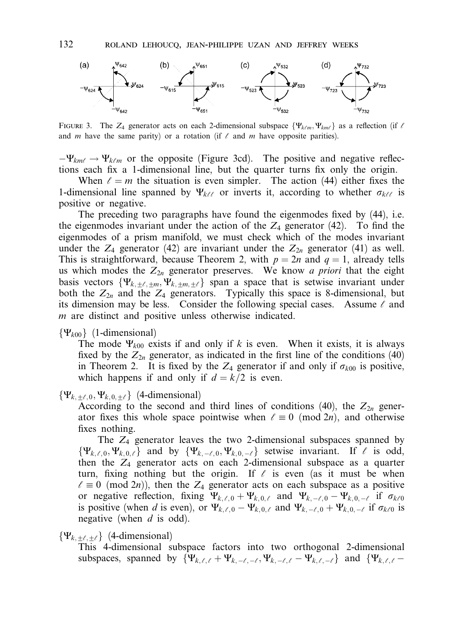

FIGURE 3. The Z<sub>4</sub> generator acts on each 2-dimensional subspace  $\{\Psi_{k\ell m}, \Psi_{km\ell}\}$  as a reflection (if  $\ell$ and m have the same parity) or a rotation (if  $\ell$  and m have opposite parities).

 $-\Psi_{kmt} \rightarrow \Psi_{k\ell m}$  or the opposite (Figure 3cd). The positive and negative reflections each fix a 1-dimensional line, but the quarter turns fix only the origin.

When  $\ell = m$  the situation is even simpler. The action (44) either fixes the 1-dimensional line spanned by  $\Psi_{k\ell\ell}$  or inverts it, according to whether  $\sigma_{k\ell\ell}$  is positive or negative.

The preceding two paragraphs have found the eigenmodes fixed by (44), i.e. the eigenmodes invariant under the action of the  $Z_4$  generator (42). To find the eigenmodes of a prism manifold, we must check which of the modes invariant under the  $Z_4$  generator (42) are invariant under the  $Z_{2n}$  generator (41) as well. This is straightforward, because Theorem 2, with  $p = 2n$  and  $q = 1$ , already tells us which modes the  $Z_{2n}$  generator preserves. We know a priori that the eight basis vectors  $\{\Psi_{k,\pm\ell,\pm m}, \Psi_{k,\pm m,\pm\ell}\}$  span a space that is setwise invariant under both the  $Z_{2n}$  and the  $Z_4$  generators. Typically this space is 8-dimensional, but its dimension may be less. Consider the following special cases. Assume  $\ell$  and m are distinct and positive unless otherwise indicated.

# $\{\Psi_{k00}\}\$  (1-dimensional)

The mode  $\Psi_{k00}$  exists if and only if k is even. When it exists, it is always fixed by the  $Z_{2n}$  generator, as indicated in the first line of the conditions (40) in Theorem 2. It is fixed by the  $Z_4$  generator if and only if  $\sigma_{k00}$  is positive, which happens if and only if  $d = k/2$  is even.

## $\{\Psi_{k, +\ell, 0}, \Psi_{k, 0, +\ell}\}\$  (4-dimensional)

According to the second and third lines of conditions (40), the  $Z_{2n}$  generator fixes this whole space pointwise when  $\ell \equiv 0 \pmod{2n}$ , and otherwise fixes nothing.

The  $Z_4$  generator leaves the two 2-dimensional subspaces spanned by  $\{\Psi_{k,\ell,0}, \Psi_{k,0,\ell}\}\$  and by  $\{\Psi_{k,-\ell,0}, \Psi_{k,0,-\ell}\}\$  setwise invariant. If  $\ell$  is odd, then the  $Z_4$  generator acts on each 2-dimensional subspace as a quarter turn, fixing nothing but the origin. If  $\ell$  is even (as it must be when  $\ell \equiv 0 \pmod{2n}$ , then the  $Z_4$  generator acts on each subspace as a positive or negative reflection, fixing  $\Psi_{k,\ell,0} + \Psi_{k,0,\ell}$  and  $\Psi_{k,-\ell,0} - \Psi_{k,0,-\ell}$  if  $\sigma_{k\ell0}$ is positive (when d is even), or  $\Psi_{k,\ell,0} - \Psi_{k,0,\ell}$  and  $\Psi_{k,-\ell,0} + \Psi_{k,0,-\ell}$  if  $\sigma_{k\ell0}$  is negative (when  $d$  is odd).

 $\{\Psi_{k,+\ell,+\ell}\}\$  (4-dimensional)

This 4-dimensional subspace factors into two orthogonal 2-dimensional subspaces, spanned by  $\{\Psi_{k,\ell,\ell} + \Psi_{k,-\ell,-\ell}, \Psi_{k,-\ell,\ell} - \Psi_{k,\ell,-\ell}\}\$  and  $\{\Psi_{k,\ell,\ell} -$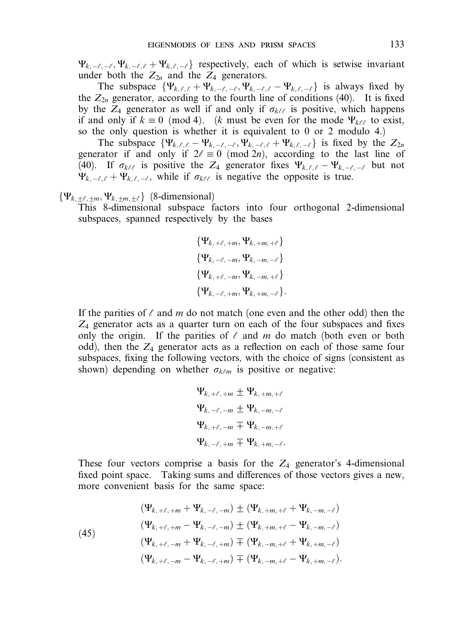$\Psi_{k,-\ell,-\ell}$ ,  $\Psi_{k,-\ell,\ell}$  +  $\Psi_{k,\ell,-\ell}$  respectively, each of which is setwise invariant under both the  $Z_{2n}$  and the  $Z_4$  generators.

The subspace  $\{\Psi_{k,\ell,\ell} + \Psi_{k,-\ell,-\ell}, \Psi_{k,-\ell,\ell} - \Psi_{k,\ell,-\ell}\}$  is always fixed by the  $Z_{2n}$  generator, according to the fourth line of conditions (40). It is fixed by the  $Z_4$  generator as well if and only if  $\sigma_{k\ell\ell}$  is positive, which happens if and only if  $k \equiv 0 \pmod{4}$ . (k must be even for the mode  $\Psi_{k\ell\ell}$  to exist, so the only question is whether it is equivalent to 0 or 2 modulo 4.)

The subspace  $\{\Psi_{k,\ell,\ell} - \Psi_{k,-\ell,-\ell}, \Psi_{k,-\ell,\ell} + \Psi_{k,\ell,-\ell}\}$  is fixed by the  $Z_{2n}$ generator if and only if  $2\ell \equiv 0 \pmod{2n}$ , according to the last line of (40). If  $\sigma_{k\ell\ell}$  is positive the Z<sub>4</sub> generator fixes  $\Psi_{k,\ell,\ell} - \Psi_{k,-\ell,-\ell}$  but not  $\Psi_{k,-\ell,\ell} + \Psi_{k,\ell,-\ell}$ , while if  $\sigma_{k\ell\ell}$  is negative the opposite is true.

# $\{\Psi_{k,\pm\ell,\pm m},\Psi_{k,\pm m,\pm\ell}\}$  (8-dimensional)

This 8-dimensional subspace factors into four orthogonal 2-dimensional subspaces, spanned respectively by the bases

> $\{\Psi_{k,+\ell,+m},\Psi_{k,+m,+\ell}\}$  $\{\Psi_{k,-\ell,-m}, \Psi_{k,-m,-\ell}\}$  $\{\Psi_{k,+k,-m}, \Psi_{k,-m,+k}\}$  $\{\Psi_{k}=\ell+m,\Psi_{k}+m=\ell\}.$

If the parities of  $\ell$  and m do not match (one even and the other odd) then the  $Z_4$  generator acts as a quarter turn on each of the four subspaces and fixes only the origin. If the parities of  $\ell$  and m do match (both even or both odd), then the  $Z_4$  generator acts as a reflection on each of those same four subspaces, fixing the following vectors, with the choice of signs (consistent as shown) depending on whether  $\sigma_{k\ell m}$  is positive or negative:

$$
\Psi_{k, +\ell, +m} \pm \Psi_{k, +m, +\ell}
$$
\n
$$
\Psi_{k, -\ell, -m} \pm \Psi_{k, -m, -\ell}
$$
\n
$$
\Psi_{k, +\ell, -m} \mp \Psi_{k, -m, +\ell}
$$
\n
$$
\Psi_{k, -\ell, +m} \mp \Psi_{k, +m, -\ell}.
$$

These four vectors comprise a basis for the  $Z_4$  generator's 4-dimensional fixed point space. Taking sums and differences of those vectors gives a new, more convenient basis for the same space:

(45)  
\n
$$
(\Psi_{k, +\ell, +m} + \Psi_{k, -\ell, -m}) \pm (\Psi_{k, +m, +\ell} + \Psi_{k, -m, -\ell})
$$
\n
$$
(\Psi_{k, +\ell, +m} - \Psi_{k, -\ell, -m}) \pm (\Psi_{k, +m, +\ell} - \Psi_{k, -m, -\ell})
$$
\n
$$
(\Psi_{k, +\ell, -m} + \Psi_{k, -\ell, +m}) \mp (\Psi_{k, -m, +\ell} + \Psi_{k, +m, -\ell})
$$
\n
$$
(\Psi_{k, +\ell, -m} - \Psi_{k, -\ell, +m}) \mp (\Psi_{k, -m, +\ell} - \Psi_{k, +m, -\ell}).
$$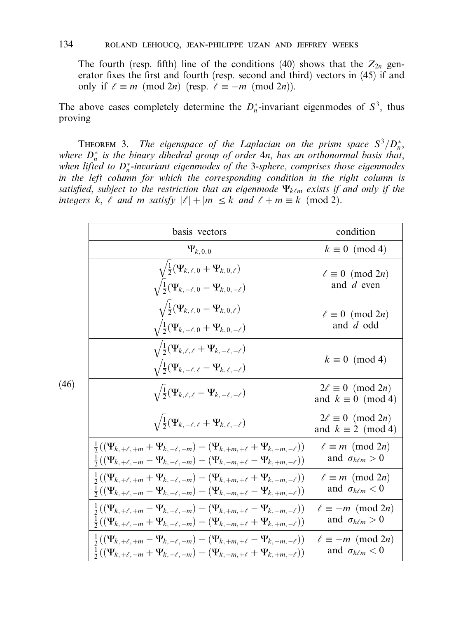The fourth (resp. fifth) line of the conditions (40) shows that the  $Z_{2n}$  generator fixes the first and fourth (resp. second and third) vectors in (45) if and only if  $\ell \equiv m \pmod{2n}$  (resp.  $\ell \equiv -m \pmod{2n}$ ).

The above cases completely determine the  $D_n^*$ -invariant eigenmodes of  $S^3$ , thus proving

**THEOREM** 3. The eigenspace of the Laplacian on the prism space  $S^3/D_n^*$ , where  $D_n^*$  is the binary dihedral group of order  $4n$ , has an orthonormal basis that, when lifted to  $D_n^*$ -invariant eigenmodes of the 3-sphere, comprises those eigenmodes in the left column for which the corresponding condition in the right column is satisfied, subject to the restriction that an eigenmode  $\Psi_{k\ell m}$  exists if and only if the integers k,  $\ell$  and m satisfy  $|\ell| + |m| \leq k$  and  $\ell + m \equiv k \pmod{2}$ .

| basis vectors                                                                                                                    | condition                                               |
|----------------------------------------------------------------------------------------------------------------------------------|---------------------------------------------------------|
| $\Psi_{k,0,0}$                                                                                                                   | $k \equiv 0 \pmod{4}$                                   |
| $\sqrt{\frac{1}{2}(\Psi_{k,\ell,0} + \Psi_{k,0,\ell})}$                                                                          | $\ell \equiv 0 \pmod{2n}$                               |
| $\sqrt{\frac{1}{2}(\Psi_{k,-\ell,0}-\Psi_{k,0,-\ell})}$                                                                          | and d even                                              |
| $\sqrt{\frac{1}{2}(\Psi_{k,\ell,0}-\Psi_{k,0,\ell})}$                                                                            | $\ell \equiv 0 \pmod{2n}$                               |
| $\sqrt{\frac{1}{2}(\Psi_{k,-\ell,0} + \Psi_{k,0,-\ell})}$                                                                        | and d odd                                               |
| $\sqrt{\frac{1}{2}(\Psi_{k,\ell,\ell} + \Psi_{k,-\ell,-\ell})}$<br>$\sqrt{\frac{1}{2}(\Psi_{k,-\ell,\ell}-\Psi_{k,\ell,-\ell})}$ | $k \equiv 0 \pmod{4}$                                   |
| $\sqrt{\frac{1}{2}(\Psi_{k,\ell,\ell}-\Psi_{k,-\ell,-\ell})}$                                                                    | $2\ell \equiv 0 \pmod{2n}$<br>and $k \equiv 0 \pmod{4}$ |
| $\sqrt{\frac{1}{2}(\Psi_{k,-\ell,\ell}+\Psi_{k,\ell,-\ell})}$                                                                    | $2\ell \equiv 0 \pmod{2n}$<br>and $k \equiv 2 \pmod{4}$ |
| $\frac{1}{2}((\Psi_{k,+\ell,+m} + \Psi_{k,-\ell,-m}) + (\Psi_{k,+m,+\ell} + \Psi_{k,-m,-\ell}))$                                 | $\ell \equiv m \pmod{2n}$                               |
| $\frac{1}{2}((\Psi_{k, +\ell, -m} - \Psi_{k, -\ell, +m}) - (\Psi_{k, -m, +\ell} - \Psi_{k, +m, -\ell}))$                         | and $\sigma_{k\ell m} > 0$                              |
| $\frac{1}{2}((\Psi_{k,+\ell,+m} + \Psi_{k,-\ell,-m}) - (\Psi_{k,+m,+\ell} + \Psi_{k,-m,-\ell}))$                                 | $\ell \equiv m \pmod{2n}$                               |
| $\frac{1}{2}((\Psi_{k,+ \ell,-m} - \Psi_{k,- \ell,+m}) + (\Psi_{k,-m,+ \ell} - \Psi_{k,+m,-\ell}))$                              | and $\sigma_{k\ell m} < 0$                              |
| $\frac{1}{2}((\Psi_{k,+l,+m}-\Psi_{k,-l,-m})+(\Psi_{k,+m,+l}-\Psi_{k,-m,-l}))$                                                   | $\ell \equiv -m \pmod{2n}$                              |
| $\frac{1}{2}((\Psi_{k, +\ell, -m} + \Psi_{k, -\ell, +m}) - (\Psi_{k, -m, +\ell} + \Psi_{k, +m, -\ell}))$                         | and $\sigma_{k\ell m} > 0$                              |
| $\frac{1}{2}((\Psi_{k, +\ell, +m} - \Psi_{k, -\ell, -m}) - (\Psi_{k, +m, +\ell} - \Psi_{k, -m, -\ell}))$                         | $\ell \equiv -m \pmod{2n}$                              |
| $\frac{1}{2}((\Psi_{k, +\ell, -m} + \Psi_{k, -\ell, +m}) + (\Psi_{k, -m, +\ell} + \Psi_{k, +m, -\ell}))$                         | and $\sigma_{k\ell m} < 0$                              |

(46)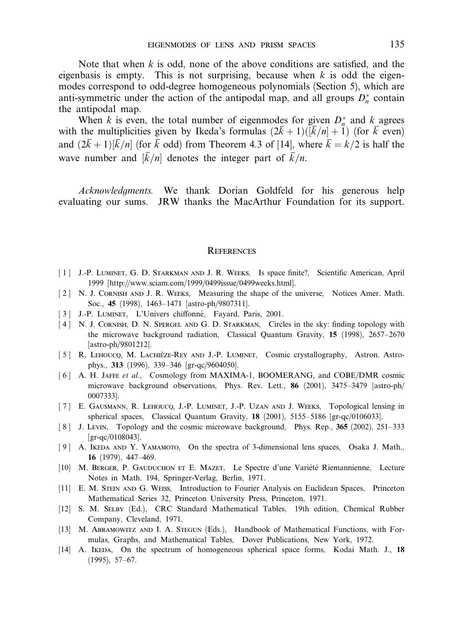Note that when  $k$  is odd, none of the above conditions are satisfied, and the eigenbasis is empty. This is not surprising, because when  $k$  is odd the eigenmodes correspond to odd-degree homogeneous polynomials (Section 5), which are anti-symmetric under the action of the antipodal map, and all groups  $D_n^*$  contain the antipodal map.

When k is even, the total number of eigenmodes for given  $D_n^*$  and k agrees with the multiplicities given by Ikeda's formulas  $(2\bar{k}+1)(\bar{k}/n] + 1$ ) (for  $\bar{k}$  even) and  $(2\bar{k}+1)[\bar{k}/n]$  (for  $\bar{k}$  odd) from Theorem 4.3 of [14], where  $\bar{k} = k/2$  is half the wave number and  $\overline{k}/n$  denotes the integer part of  $\overline{k}/n$ .

Acknowledgments. We thank Dorian Goldfeld for his generous help evaluating our sums. JRW thanks the MacArthur Foundation for its support.

### **REFERENCES**

- [1] J.-P. LUMINET, G. D. STARKMAN AND J. R. WEEKS, Is space finite?, Scientific American, April 1999 [http://www.sciam.com/1999/0499issue/0499weeks.html].
- [2] N. J. CORNISH AND J. R. WEEKS, Measuring the shape of the universe, Notices Amer. Math. Soc., 45 (1998), 1463–1471 [astro-ph/9807311].
- [ 3 ] J.-P. LUMINET, L'Univers chiffonné, Fayard, Paris, 2001.
- [4] N. J. CORNISH, D. N. SPERGEL AND G. D. STARKMAN, Circles in the sky: finding topology with the microwave background radiation, Classical Quantum Gravity, 15 (1998), 2657–2670 [astro-ph/9801212].
- [5] R. LEHOUCQ, M. LACHIEZE-REY AND J.-P. LUMINET, Cosmic crystallography, Astron. Astrophys., 313 (1996), 339–346 [gr-qc/9604050].
- [6] A. H. JAFFE et al., Cosmology from MAXIMA-1, BOOMERANG, and COBE/DMR cosmic microwave background observations, Phys. Rev. Lett., 86 (2001), 3475–3479 [astro-ph/ 0007333].
- [ 7 ] E. Gausmann, R. Lehoucq, J.-P. Luminet, J.-P. Uzan and J. Weeks, Topological lensing in spherical spaces, Classical Quantum Gravity, 18 (2001), 5155–5186 [gr-qc/0106033].
- [ 8 ] J. Levin, Topology and the cosmic microwave background, Phys. Rep., 365 (2002), 251–333 [gr-qc/0108043].
- [ 9 ] A. Ikeda and Y. Yamamoto, On the spectra of 3-dimensional lens spaces, Osaka J. Math., 16 (1979), 447–469.
- [10] M. BERGER, P. GAUDUCHON ET E. MAZET, Le Spectre d'une Variété Riemannienne, Lecture Notes in Math. 194, Springer-Verlag, Berlin, 1971.
- [11] E. M. Stein and G. Weiss, Introduction to Fourier Analysis on Euclidean Spaces, Princeton Mathematical Series 32, Princeton University Press, Princeton, 1971.
- [12] S. M. Selby (Ed.), CRC Standard Mathematical Tables, 19th edition, Chemical Rubber Company, Cleveland, 1971.
- [13] M. Abramowitz and I. A. Stegun (Eds.), Handbook of Mathematical Functions, with Formulas, Graphs, and Mathematical Tables, Dover Publications, New York, 1972.
- [14] A. IKEDA, On the spectrum of homogeneous spherical space forms, Kodai Math. J., 18 (1995), 57–67.